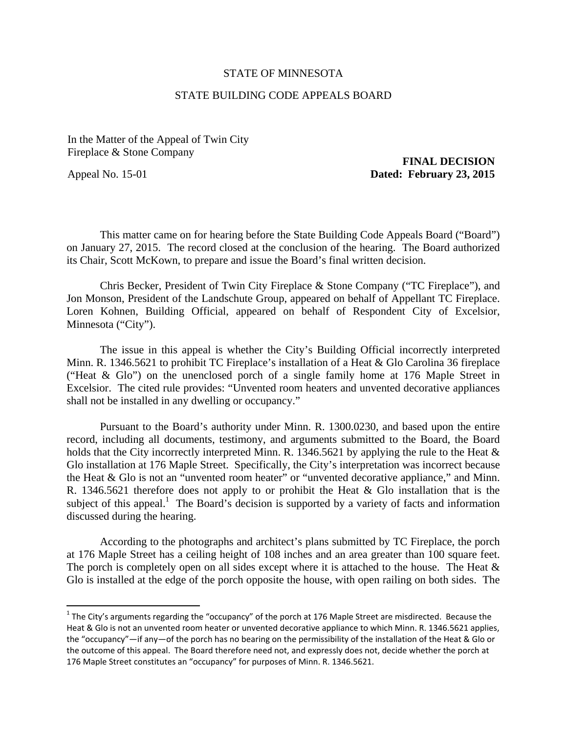## STATE OF MINNESOTA

## STATE BUILDING CODE APPEALS BOARD

In the Matter of the Appeal of Twin City Fireplace & Stone Company **FINAL DECISION** 

## Appeal No. 15-01 **Dated: February 23, 2015**

This matter came on for hearing before the State Building Code Appeals Board ("Board") on January 27, 2015. The record closed at the conclusion of the hearing. The Board authorized its Chair, Scott McKown, to prepare and issue the Board's final written decision.

Chris Becker, President of Twin City Fireplace & Stone Company ("TC Fireplace"), and Jon Monson, President of the Landschute Group, appeared on behalf of Appellant TC Fireplace. Loren Kohnen, Building Official, appeared on behalf of Respondent City of Excelsior, Minnesota ("City").

The issue in this appeal is whether the City's Building Official incorrectly interpreted Minn. R. 1346.5621 to prohibit TC Fireplace's installation of a Heat & Glo Carolina 36 fireplace ("Heat & Glo") on the unenclosed porch of a single family home at 176 Maple Street in Excelsior. The cited rule provides: "Unvented room heaters and unvented decorative appliances shall not be installed in any dwelling or occupancy."

Pursuant to the Board's authority under Minn. R. 1300.0230, and based upon the entire record, including all documents, testimony, and arguments submitted to the Board, the Board holds that the City incorrectly interpreted Minn. R. 1346.5621 by applying the rule to the Heat  $\&$ Glo installation at 176 Maple Street. Specifically, the City's interpretation was incorrect because the Heat & Glo is not an "unvented room heater" or "unvented decorative appliance," and Minn. R. 1346.5621 therefore does not apply to or prohibit the Heat & Glo installation that is the subject of this appeal.<sup>1</sup> The Board's decision is supported by a variety of facts and information discussed during the hearing.

According to the photographs and architect's plans submitted by TC Fireplace, the porch at 176 Maple Street has a ceiling height of 108 inches and an area greater than 100 square feet. The porch is completely open on all sides except where it is attached to the house. The Heat  $\&$ Glo is installed at the edge of the porch opposite the house, with open railing on both sides. The

<sup>&</sup>lt;sup>1</sup> The City's arguments regarding the "occupancy" of the porch at 176 Maple Street are misdirected. Because the Heat & Glo is not an unvented room heater or unvented decorative appliance to which Minn. R. 1346.5621 applies, the "occupancy"—if any—of the porch has no bearing on the permissibility of the installation of the Heat & Glo or the outcome of this appeal. The Board therefore need not, and expressly does not, decide whether the porch at 176 Maple Street constitutes an "occupancy" for purposes of Minn. R. 1346.5621.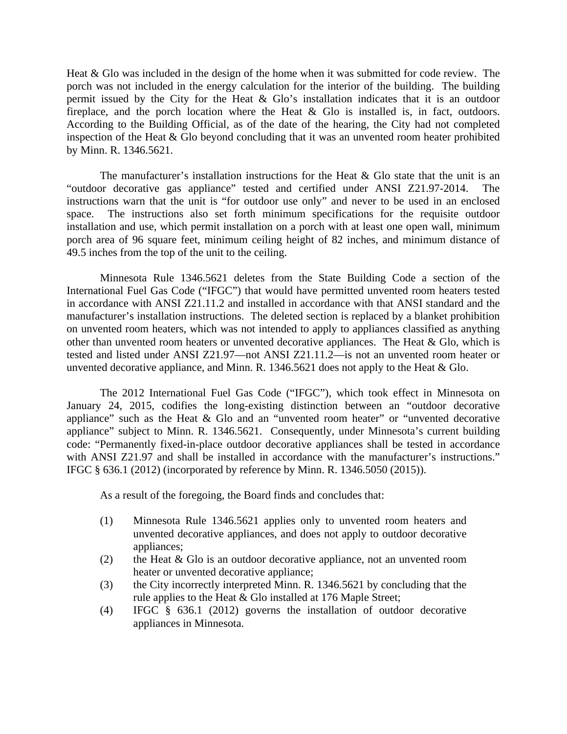Heat & Glo was included in the design of the home when it was submitted for code review. The porch was not included in the energy calculation for the interior of the building. The building permit issued by the City for the Heat & Glo's installation indicates that it is an outdoor fireplace, and the porch location where the Heat  $\&$  Glo is installed is, in fact, outdoors. According to the Building Official, as of the date of the hearing, the City had not completed inspection of the Heat & Glo beyond concluding that it was an unvented room heater prohibited by Minn. R. 1346.5621.

The manufacturer's installation instructions for the Heat  $\&$  Glo state that the unit is an "outdoor decorative gas appliance" tested and certified under ANSI Z21.97-2014. instructions warn that the unit is "for outdoor use only" and never to be used in an enclosed space. The instructions also set forth minimum specifications for the requisite outdoor installation and use, which permit installation on a porch with at least one open wall, minimum porch area of 96 square feet, minimum ceiling height of 82 inches, and minimum distance of 49.5 inches from the top of the unit to the ceiling.

Minnesota Rule 1346.5621 deletes from the State Building Code a section of the International Fuel Gas Code ("IFGC") that would have permitted unvented room heaters tested in accordance with ANSI Z21.11.2 and installed in accordance with that ANSI standard and the manufacturer's installation instructions. The deleted section is replaced by a blanket prohibition on unvented room heaters, which was not intended to apply to appliances classified as anything other than unvented room heaters or unvented decorative appliances. The Heat & Glo, which is tested and listed under ANSI Z21.97—not ANSI Z21.11.2—is not an unvented room heater or unvented decorative appliance, and Minn. R. 1346.5621 does not apply to the Heat & Glo.

The 2012 International Fuel Gas Code ("IFGC"), which took effect in Minnesota on January 24, 2015, codifies the long-existing distinction between an "outdoor decorative appliance" such as the Heat & Glo and an "unvented room heater" or "unvented decorative appliance" subject to Minn. R. 1346.5621. Consequently, under Minnesota's current building code: "Permanently fixed-in-place outdoor decorative appliances shall be tested in accordance with ANSI Z21.97 and shall be installed in accordance with the manufacturer's instructions." IFGC § 636.1 (2012) (incorporated by reference by Minn. R. 1346.5050 (2015)).

As a result of the foregoing, the Board finds and concludes that:

- (1) Minnesota Rule 1346.5621 applies only to unvented room heaters and unvented decorative appliances, and does not apply to outdoor decorative appliances;
- (2) the Heat  $&$  Glo is an outdoor decorative appliance, not an unvented room heater or unvented decorative appliance;
- (3) the City incorrectly interpreted Minn. R. 1346.5621 by concluding that the rule applies to the Heat & Glo installed at 176 Maple Street;
- (4) IFGC § 636.1 (2012) governs the installation of outdoor decorative appliances in Minnesota.